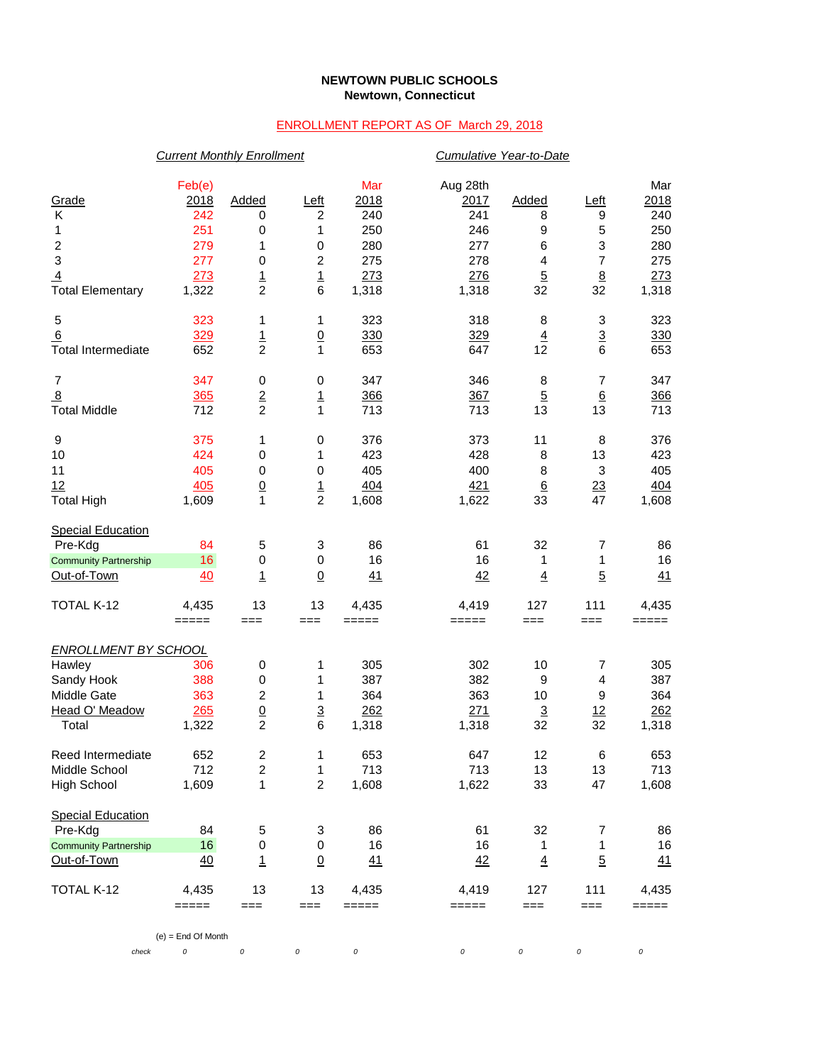## **NEWTOWN PUBLIC SCHOOLS Newtown, Connecticut**

## ENROLLMENT REPORT AS OF March 29, 2018

|                                                                                    | <b>Current Monthly Enrollment</b>          |                                                           |                                             |                                         |                                              | Cumulative Year-to-Date                |                                                               |                                         |  |  |
|------------------------------------------------------------------------------------|--------------------------------------------|-----------------------------------------------------------|---------------------------------------------|-----------------------------------------|----------------------------------------------|----------------------------------------|---------------------------------------------------------------|-----------------------------------------|--|--|
| Grade<br>К<br>1<br>$\boldsymbol{2}$<br>3                                           | Feb(e)<br>2018<br>242<br>251<br>279<br>277 | Added<br>0<br>0<br>1<br>0                                 | <u>Left</u><br>2<br>1<br>0<br>2             | Mar<br>2018<br>240<br>250<br>280<br>275 | Aug 28th<br>2017<br>241<br>246<br>277<br>278 | Added<br>8<br>9<br>6<br>$\overline{4}$ | Left<br>9<br>5<br>$\ensuremath{\mathsf{3}}$<br>$\overline{7}$ | Mar<br>2018<br>240<br>250<br>280<br>275 |  |  |
| $\overline{4}$                                                                     | 273                                        | $\overline{1}$<br>$\overline{2}$                          | $\overline{1}$<br>6                         | 273                                     | 276                                          | $\overline{5}$                         | 8                                                             | 273                                     |  |  |
| <b>Total Elementary</b>                                                            | 1,322                                      |                                                           |                                             | 1,318                                   | 1,318                                        | 32                                     | 32                                                            | 1,318                                   |  |  |
| 5<br>6<br><b>Total Intermediate</b>                                                | 323<br>329<br>652                          | 1<br>$\overline{1}$<br>$\overline{2}$                     | 1<br>$\overline{0}$<br>1                    | 323<br>330<br>653                       | 318<br>329<br>647                            | 8<br>$\underline{4}$<br>12             | 3<br>$\overline{3}$<br>6                                      | 323<br>330<br>653                       |  |  |
| $\overline{7}$<br>$\overline{8}$<br><b>Total Middle</b>                            | 347<br>365<br>712                          | 0<br>$\frac{2}{2}$                                        | 0<br>$\overline{1}$<br>1                    | 347<br>366<br>713                       | 346<br>367<br>713                            | 8<br>$\overline{5}$<br>13              | $\overline{7}$<br>$6\overline{6}$<br>13                       | 347<br>366<br>713                       |  |  |
| 9<br>10<br>11<br>12<br><b>Total High</b>                                           | 375<br>424<br>405<br>405<br>1,609          | 1<br>0<br>0<br>$\underline{0}$<br>1                       | 0<br>1<br>$\boldsymbol{0}$<br>$\frac{1}{2}$ | 376<br>423<br>405<br>404<br>1,608       | 373<br>428<br>400<br>421<br>1,622            | 11<br>8<br>8<br>$\underline{6}$<br>33  | 8<br>13<br>3<br>$\frac{23}{47}$                               | 376<br>423<br>405<br>404<br>1,608       |  |  |
| <b>Special Education</b><br>Pre-Kdg<br><b>Community Partnership</b><br>Out-of-Town | 84<br>16<br>40                             | 5<br>0<br>1                                               | 3<br>$\,0\,$<br>$\overline{0}$              | 86<br>16<br>41                          | 61<br>16<br>42                               | 32<br>1<br>$\overline{4}$              | 7<br>1<br>$\overline{5}$                                      | 86<br>16<br>41                          |  |  |
| TOTAL K-12                                                                         | 4,435<br>$=====$                           | 13<br>$==$                                                | 13<br>$==$                                  | 4,435<br>$=====$                        | 4,419<br>$=====$                             | 127<br>$==$                            | 111<br>===                                                    | 4,435<br>$=====$                        |  |  |
| <b>ENROLLMENT BY SCHOOL</b>                                                        |                                            |                                                           |                                             |                                         |                                              |                                        |                                                               |                                         |  |  |
| Hawley<br>Sandy Hook<br>Middle Gate<br>Head O' Meadow<br>Total                     | 306<br>388<br>363<br>265<br>1,322          | 0<br>0<br>$\sqrt{2}$<br>$\underline{0}$<br>$\overline{c}$ | 1<br>1<br>1<br>$\overline{3}$<br>6          | 305<br>387<br>364<br>262<br>1,318       | 302<br>382<br>363<br>271<br>1,318            | 10<br>9<br>10<br>$\overline{3}$<br>32  | 7<br>4<br>9<br>12<br>32                                       | 305<br>387<br>364<br>262<br>1,318       |  |  |
| Reed Intermediate<br>Middle School<br><b>High School</b>                           | 652<br>712<br>1,609                        | $\boldsymbol{2}$<br>$\overline{c}$<br>1                   | 1<br>1<br>$\overline{c}$                    | 653<br>713<br>1,608                     | 647<br>713<br>1,622                          | 12<br>13<br>33                         | 6<br>13<br>47                                                 | 653<br>713<br>1,608                     |  |  |
| <b>Special Education</b><br>Pre-Kdg                                                | 84                                         | 5                                                         | 3                                           | 86                                      | 61                                           | 32                                     | 7                                                             | 86                                      |  |  |
| <b>Community Partnership</b><br>Out-of-Town                                        | 16<br>40                                   | 0<br>$\overline{1}$                                       | $\,0\,$<br>$\underline{0}$                  | 16<br>41                                | 16<br>42                                     | 1<br>$\overline{4}$                    | 1<br>$\overline{5}$                                           | 16<br>41                                |  |  |
| TOTAL K-12                                                                         | 4,435<br>$=$ $=$ $=$ $=$                   | 13<br>$==$                                                | 13<br>$==$                                  | 4,435<br>$=$ $=$ $=$ $=$                | 4,419<br>=====                               | 127<br>$==$                            | 111<br>===                                                    | 4,435<br>$=$ $=$ $=$ $=$                |  |  |
|                                                                                    | $(e)$ = End Of Month                       |                                                           |                                             |                                         |                                              |                                        |                                                               |                                         |  |  |
| check                                                                              | 0                                          | 0                                                         | 0                                           | $\cal O$                                | 0                                            | 0                                      | 0                                                             | $\cal O$                                |  |  |